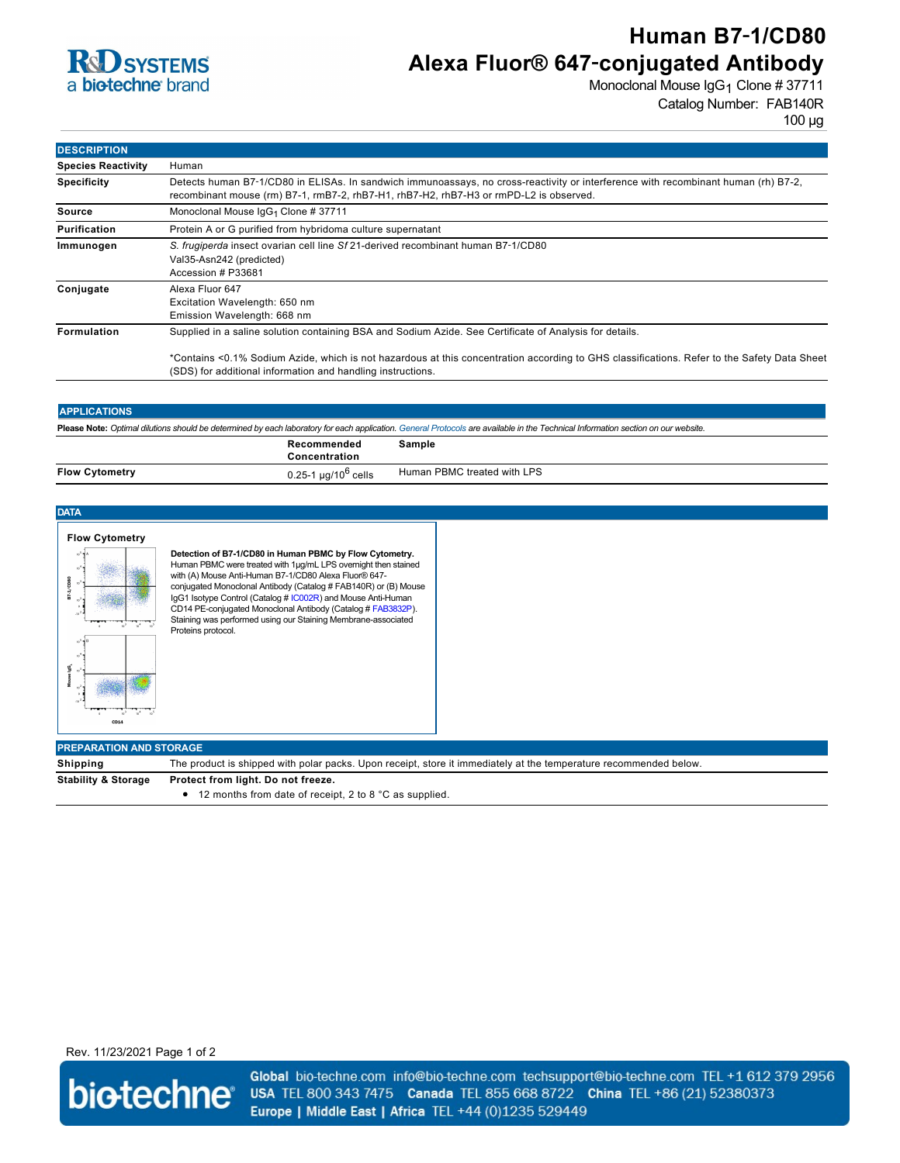

# **Human B7**‑**1/CD80 Alexa Fluor® 647**‑**conjugated Antibody**

Monoclonal Mouse IgG<sub>1</sub> Clone # 37711 Catalog Number: FAB140R

| <b>DESCRIPTION</b>        |                                                                                                                                                                                                                              |  |  |
|---------------------------|------------------------------------------------------------------------------------------------------------------------------------------------------------------------------------------------------------------------------|--|--|
| <b>Species Reactivity</b> | Human                                                                                                                                                                                                                        |  |  |
| <b>Specificity</b>        | Detects human B7-1/CD80 in ELISAs. In sandwich immunoassays, no cross-reactivity or interference with recombinant human (rh) B7-2,<br>recombinant mouse (rm) B7-1, rmB7-2, rhB7-H1, rhB7-H2, rhB7-H3 or rmPD-L2 is observed. |  |  |
| Source                    | Monoclonal Mouse IgG <sub>1</sub> Clone # 37711                                                                                                                                                                              |  |  |
| <b>Purification</b>       | Protein A or G purified from hybridoma culture supernatant                                                                                                                                                                   |  |  |
| Immunogen                 | S. frugiperda insect ovarian cell line Sf 21-derived recombinant human B7-1/CD80<br>Val35-Asn242 (predicted)<br>Accession # P33681                                                                                           |  |  |
| Conjugate                 | Alexa Fluor 647<br>Excitation Wavelength: 650 nm<br>Emission Wavelength: 668 nm                                                                                                                                              |  |  |
| <b>Formulation</b>        | Supplied in a saline solution containing BSA and Sodium Azide. See Certificate of Analysis for details.                                                                                                                      |  |  |
|                           | *Contains <0.1% Sodium Azide, which is not hazardous at this concentration according to GHS classifications. Refer to the Safety Data Sheet<br>(SDS) for additional information and handling instructions.                   |  |  |

## **APPLICATIONS**

**Please Note:** *Optimal dilutions should be determined by each laboratory for each application. [General Protocols](http://www.rndsystems.com/resources/protocols-troubleshooting-guides) are available in the Technical Information section on our website.*

|                       | Recommended<br>Concentration             | Sample                      |
|-----------------------|------------------------------------------|-----------------------------|
| <b>Flow Cytometry</b> | l µg/10 <sup>o</sup> cells<br>$0.25 - 1$ | Human PBMC treated with LPS |

| <b>DATA</b>                             |                                                                                                                                                                                                                                                                                                                                                                                                                                                                              |  |  |
|-----------------------------------------|------------------------------------------------------------------------------------------------------------------------------------------------------------------------------------------------------------------------------------------------------------------------------------------------------------------------------------------------------------------------------------------------------------------------------------------------------------------------------|--|--|
| <b>Flow Cytometry</b><br>1/CD80<br>CD14 | Detection of B7-1/CD80 in Human PBMC by Flow Cytometry.<br>Human PBMC were treated with 1µg/mL LPS overnight then stained<br>with (A) Mouse Anti-Human B7-1/CD80 Alexa Fluor® 647-<br>conjugated Monoclonal Antibody (Catalog # FAB140R) or (B) Mouse<br>IgG1 Isotype Control (Catalog # IC002R) and Mouse Anti-Human<br>CD14 PE-conjugated Monoclonal Antibody (Catalog # FAB3832P).<br>Staining was performed using our Staining Membrane-associated<br>Proteins protocol. |  |  |
| <b>PREPARATION AND STORAGE</b>          |                                                                                                                                                                                                                                                                                                                                                                                                                                                                              |  |  |
| Shipping                                | The product is shipped with polar packs. Upon receipt, store it immediately at the temperature recommended below.                                                                                                                                                                                                                                                                                                                                                            |  |  |
| <b>Stability &amp; Storage</b>          | Protect from light. Do not freeze.<br>12 months from date of receipt, 2 to 8 °C as supplied.<br>٠                                                                                                                                                                                                                                                                                                                                                                            |  |  |

Rev. 11/23/2021 Page 1 of 2



Global bio-techne.com info@bio-techne.com techsupport@bio-techne.com TEL +1 612 379 2956 USA TEL 800 343 7475 Canada TEL 855 668 8722 China TEL +86 (21) 52380373 Europe | Middle East | Africa TEL +44 (0)1235 529449